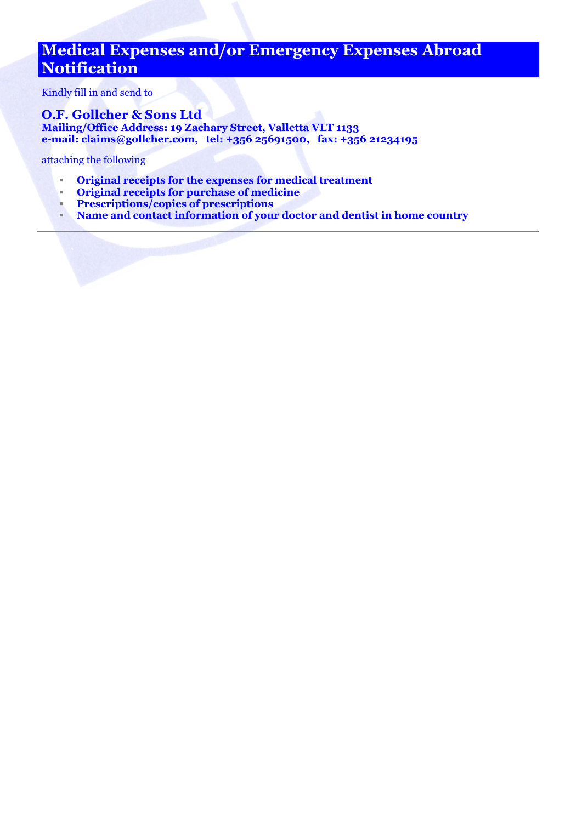## **Medical Expenses and/or Emergency Expenses Abroad Notification**

Kindly fill in and send to

## **O.F. Gollcher & Sons Ltd Mailing/Office Address: 19 Zachary Street, Valletta VLT 1133 e-mail: [claims@gollcher.com,](mailto:claims@gollcher.com) tel: +356 25691500, fax: +356 21234195**

attaching the following

- **Original receipts for the expenses for medical treatment**
- **Priginal receipts for purchase of medicine**<br>**Prescriptions/copies of prescriptions**
- **Prescriptions/copies of prescriptions**
- **Name and contact information of your doctor and dentist in home country**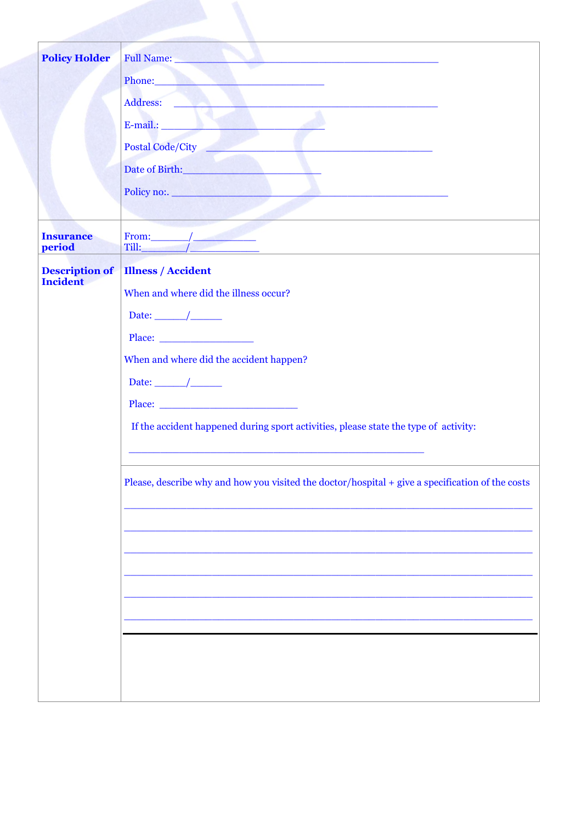| <b>Policy Holder</b>       | Full Name:                                                                                                                                                                                                                           |
|----------------------------|--------------------------------------------------------------------------------------------------------------------------------------------------------------------------------------------------------------------------------------|
|                            | Phone: <u>and the contract of the contract of the contract of the contract of the contract of the contract of the contract of the contract of the contract of the contract of the contract of the contract of the contract of th</u> |
|                            | Address: North Communication of the Communication of the Communication of the Communication of the Communication of the Communication of the Communication of the Communication of the Communication of the Communication of t       |
|                            |                                                                                                                                                                                                                                      |
|                            |                                                                                                                                                                                                                                      |
|                            | Date of Birth:                                                                                                                                                                                                                       |
|                            | Policy no:.                                                                                                                                                                                                                          |
|                            |                                                                                                                                                                                                                                      |
| <b>Insurance</b><br>period |                                                                                                                                                                                                                                      |
| <b>Description of</b>      | <b>Illness / Accident</b>                                                                                                                                                                                                            |
| <b>Incident</b>            | When and where did the illness occur?                                                                                                                                                                                                |
|                            | Date: $\_\_\_\_\_\_\_\_\_\_\_\_\_\_\_\_\_\_\_\_$                                                                                                                                                                                     |
|                            | Place: $\qquad \qquad$                                                                                                                                                                                                               |
|                            | When and where did the accident happen?                                                                                                                                                                                              |
|                            | Date: $\_\_\_\_\_\_\_\_\_\_\_\_\_\_\_\_\_\_\_\_$                                                                                                                                                                                     |
|                            | Place: <u>______________________________</u>                                                                                                                                                                                         |
|                            | If the accident happened during sport activities, please state the type of activity:                                                                                                                                                 |
|                            | Please, describe why and how you visited the doctor/hospital + give a specification of the costs                                                                                                                                     |
|                            |                                                                                                                                                                                                                                      |
|                            |                                                                                                                                                                                                                                      |
|                            |                                                                                                                                                                                                                                      |
|                            |                                                                                                                                                                                                                                      |
|                            |                                                                                                                                                                                                                                      |
|                            |                                                                                                                                                                                                                                      |
|                            |                                                                                                                                                                                                                                      |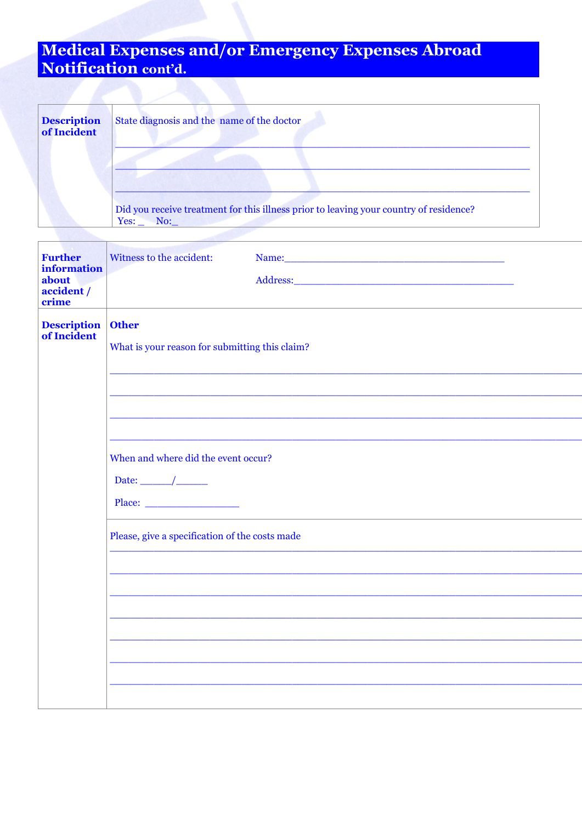## Medical Expenses and/or Emergency Expenses Abroad<br>Notification cont'd.

| <b>Description</b><br>of Incident | State diagnosis and the name of the doctor                                                            |
|-----------------------------------|-------------------------------------------------------------------------------------------------------|
|                                   |                                                                                                       |
|                                   | Did you receive treatment for this illness prior to leaving your country of residence?<br>Yes:<br>No: |

| <b>Further</b><br><b>information</b><br>about<br>accident /<br>crime | Witness to the accident:<br>Name: Name and the set of the set of the set of the set of the set of the set of the set of the set of the set of the set of the set of the set of the set of the set of the set of the set of the set of the set of the set o |
|----------------------------------------------------------------------|------------------------------------------------------------------------------------------------------------------------------------------------------------------------------------------------------------------------------------------------------------|
| <b>Description</b><br>of Incident                                    | <b>Other</b><br>What is your reason for submitting this claim?                                                                                                                                                                                             |
|                                                                      |                                                                                                                                                                                                                                                            |
|                                                                      | When and where did the event occur?<br>Date: $\frac{\qquad}{\qquad}$<br>Place:                                                                                                                                                                             |
|                                                                      | Please, give a specification of the costs made                                                                                                                                                                                                             |
|                                                                      |                                                                                                                                                                                                                                                            |
|                                                                      |                                                                                                                                                                                                                                                            |
|                                                                      |                                                                                                                                                                                                                                                            |